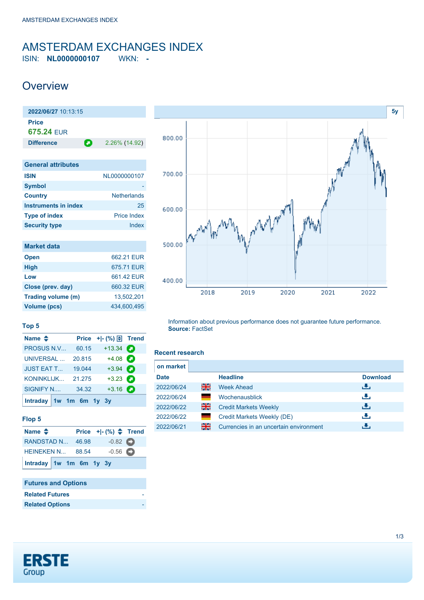# <span id="page-0-0"></span>AMSTERDAM EXCHANGES INDEX

ISIN: **NL0000000107** WKN: **-**

### **Overview**

| 2022/06/27 10:13:15       |                    |  |  |  |
|---------------------------|--------------------|--|--|--|
| <b>Price</b>              |                    |  |  |  |
| 675.24 FUR                |                    |  |  |  |
| О<br><b>Difference</b>    | 2.26% (14.92)      |  |  |  |
|                           |                    |  |  |  |
| <b>General attributes</b> |                    |  |  |  |
| <b>ISIN</b>               | NL0000000107       |  |  |  |
| <b>Symbol</b>             |                    |  |  |  |
| <b>Country</b>            | <b>Netherlands</b> |  |  |  |
| Instruments in index      | 25                 |  |  |  |
| <b>Type of index</b>      | <b>Price Index</b> |  |  |  |

| <b>Market data</b> |             |
|--------------------|-------------|
| <b>Open</b>        | 662 21 FUR  |
| <b>High</b>        | 675.71 FUR  |
| Low                | 661.42 EUR  |
| Close (prev. day)  | 660.32 EUR  |
| Trading volume (m) | 13.502.201  |
| Volume (pcs)       | 434.600.495 |

**Security type Index** 



#### **Top 5**

| Name $\triangleq$         |        | Price $+$ $\mid$ $\cdot$ $\mid \%)$ $\Box$ Trend |   |
|---------------------------|--------|--------------------------------------------------|---|
| <b>PROSUS N.V</b>         | 60.15  | $+13.34$                                         | О |
| <b>UNIVERSAL</b>          | 20.815 | $+4.08$                                          |   |
| <b>JUST EAT T</b>         | 19.044 | $+3.94$ $\bullet$                                |   |
| <b>KONINKLIJK</b>         | 21.275 | $+3.23$                                          |   |
| <b>SIGNIFY N</b>          | 34.32  | $+3.16$ $\bullet$                                |   |
| Intraday $1w$ 1m 6m 1y 3y |        |                                                  |   |

#### **Flop 5**

| Name $\triangle$        |  | Price $+[-(%) \triangleq$ Trend |  |
|-------------------------|--|---------------------------------|--|
| RANDSTAD N 46.98        |  | $-0.82$ $\bullet$               |  |
| <b>HEINEKEN N 88.54</b> |  | $-0.56$ $\bullet$               |  |
| Intraday 1w 1m 6m 1y 3y |  |                                 |  |

#### **Futures and Options Related Futures Related Options**

Information about previous performance does not guarantee future performance. **Source:** FactSet

#### **Recent research**

| on market   |                |                                        |                 |
|-------------|----------------|----------------------------------------|-----------------|
| <b>Date</b> |                | <b>Headline</b>                        | <b>Download</b> |
| 2022/06/24  | 을중             | <b>Week Ahead</b>                      | رالى            |
| 2022/06/24  |                | Wochenausblick                         | رنان            |
| 2022/06/22  | 을              | <b>Credit Markets Weekly</b>           | رالى            |
| 2022/06/22  | <b>College</b> | Credit Markets Weekly (DE)             | رالى            |
| 2022/06/21  | 을중             | Currencies in an uncertain environment |                 |

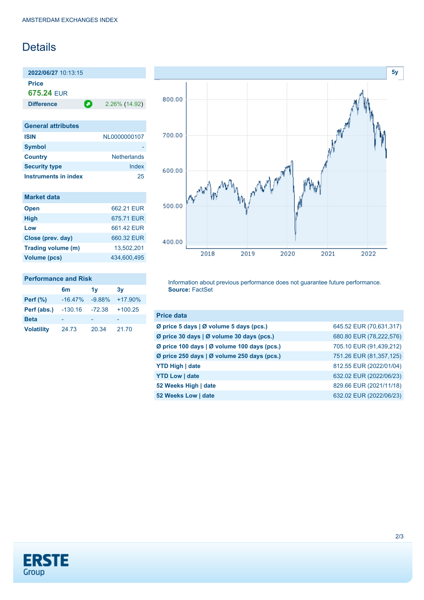## **Details**

**2022/06/27** 10:13:15 **Price**

**675.24** EUR

**Difference 2.26% (14.92)** 

| <b>General attributes</b> |                    |
|---------------------------|--------------------|
| <b>ISIN</b>               | NL0000000107       |
| <b>Symbol</b>             |                    |
| <b>Country</b>            | <b>Netherlands</b> |
| <b>Security type</b>      | Index              |
| Instruments in index      | 25                 |

| <b>Market data</b> |             |
|--------------------|-------------|
| <b>Open</b>        | 662 21 FUR  |
| <b>High</b>        | 675.71 FUR  |
| Low                | 661.42 EUR  |
| Close (prev. day)  | 660.32 FUR  |
| Trading volume (m) | 13.502.201  |
| Volume (pcs)       | 434.600.495 |

### **Performance and Risk**

|                   | 6m        | 1v       | 3v         |
|-------------------|-----------|----------|------------|
| <b>Perf</b> (%)   | $-16.47%$ | $-9.88%$ | $+17.90\%$ |
| Perf (abs.)       | $-130.16$ | $-72.38$ | $+100.25$  |
| <b>Beta</b>       |           |          |            |
| <b>Volatility</b> | 24.73     | 20.34    | 21.70      |



Information about previous performance does not guarantee future performance. **Source:** FactSet

| <b>Price data</b>                           |                         |
|---------------------------------------------|-------------------------|
| Ø price 5 days   Ø volume 5 days (pcs.)     | 645.52 EUR (70,631,317) |
| Ø price 30 days   Ø volume 30 days (pcs.)   | 680.80 EUR (78,222,576) |
| Ø price 100 days   Ø volume 100 days (pcs.) | 705.10 EUR (91,439,212) |
| Ø price 250 days   Ø volume 250 days (pcs.) | 751.26 EUR (81,357,125) |
| <b>YTD High   date</b>                      | 812.55 EUR (2022/01/04) |
| <b>YTD Low   date</b>                       | 632.02 EUR (2022/06/23) |
| 52 Weeks High   date                        | 829.66 EUR (2021/11/18) |
| 52 Weeks Low   date                         | 632.02 EUR (2022/06/23) |